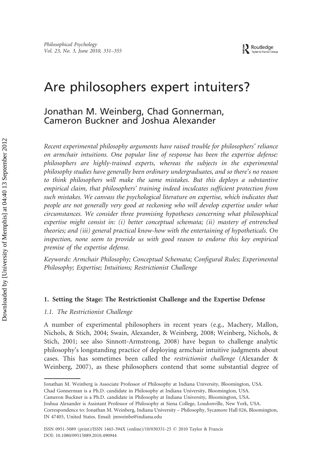# Are philosophers expert intuiters?

# Jonathan M. Weinberg, Chad Gonnerman, Cameron Buckner and Joshua Alexander

Recent experimental philosophy arguments have raised trouble for philosophers' reliance on armchair intuitions. One popular line of response has been the expertise defense: philosophers are highly-trained experts, whereas the subjects in the experimental philosophy studies have generally been ordinary undergraduates, and so there's no reason to think philosophers will make the same mistakes. But this deploys a substantive empirical claim, that philosophers' training indeed inculcates sufficient protection from such mistakes. We canvass the psychological literature on expertise, which indicates that people are not generally very good at reckoning who will develop expertise under what circumstances. We consider three promising hypotheses concerning what philosophical expertise might consist in: (i) better conceptual schemata; (ii) mastery of entrenched theories; and (iii) general practical know-how with the entertaining of hypotheticals. On inspection, none seem to provide us with good reason to endorse this key empirical premise of the expertise defense.

Keywords: Armchair Philosophy; Conceptual Schemata; Configural Rules; Experimental Philosophy; Expertise; Intuitions; Restrictionist Challenge

# 1. Setting the Stage: The Restrictionist Challenge and the Expertise Defense

# 1.1. The Restrictionist Challenge

A number of experimental philosophers in recent years (e.g., Machery, Mallon, Nichols, & Stich, 2004; Swain, Alexander, & Weinberg, 2008; Weinberg, Nichols, & Stich, 2001; see also Sinnott-Armstrong, 2008) have begun to challenge analytic philosophy's longstanding practice of deploying armchair intuitive judgments about cases. This has sometimes been called the restrictionist challenge (Alexander & Weinberg, 2007), as these philosophers contend that some substantial degree of

Jonathan M. Weinberg is Associate Professor of Philosophy at Indiana University, Bloomington, USA.

Chad Gonnerman is a Ph.D. candidate in Philosophy at Indiana University, Bloomington, USA.

Cameron Buckner is a Ph.D. candidate in Philosophy at Indiana University, Bloomington, USA.

Joshua Alexander is Assistant Professor of Philosophy at Siena College, Loudonville, New York, USA.

Correspondence to: Jonathan M. Weinberg, Indiana University – Philosophy, Sycamore Hall 026, Bloomington, IN 47405, United States. Email: jmweinbe@indiana.edu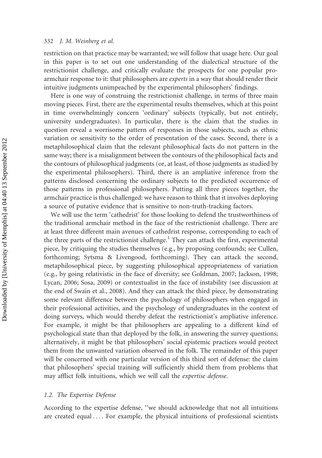restriction on that practice may be warranted; we will follow that usage here. Our goal in this paper is to set out one understanding of the dialectical structure of the restrictionist challenge, and critically evaluate the prospects for one popular proarmchair response to it: that philosophers are experts in a way that should render their intuitive judgments unimpeached by the experimental philosophers' findings.

Here is one way of construing the restrictionist challenge, in terms of three main moving pieces. First, there are the experimental results themselves, which at this point in time overwhelmingly concern 'ordinary' subjects (typically, but not entirely, university undergraduates). In particular, there is the claim that the studies in question reveal a worrisome pattern of responses in those subjects, such as ethnic variation or sensitivity to the order of presentation of the cases. Second, there is a metaphilosophical claim that the relevant philosophical facts do not pattern in the same way; there is a misalignment between the contours of the philosophical facts and the contours of philosophical judgments (or, at least, of those judgments as studied by the experimental philosophers). Third, there is an ampliative inference from the patterns disclosed concerning the ordinary subjects to the predicted occurrence of those patterns in professional philosophers. Putting all three pieces together, the armchair practice is thus challenged: we have reason to think that it involves deploying a source of putative evidence that is sensitive to non-truth-tracking factors.

We will use the term 'cathedrist' for those looking to defend the trustworthiness of the traditional armchair method in the face of the restrictionist challenge. There are at least three different main avenues of cathedrist response, corresponding to each of the three parts of the restrictionist challenge.<sup>1</sup> They can attack the first, experimental piece, by critiquing the studies themselves (e.g., by proposing confounds; see Cullen, forthcoming; Sytsma & Livengood, forthcoming). They can attack the second, metaphilosophical piece, by suggesting philosophical appropriateness of variation (e.g., by going relativistic in the face of diversity; see Goldman, 2007; Jackson, 1998; Lycan, 2006; Sosa, 2009) or contextualist in the face of instability (see discussion at the end of Swain et al., 2008). And they can attack the third piece, by demonstrating some relevant difference between the psychology of philosophers when engaged in their professional activities, and the psychology of undergraduates in the context of doing surveys, which would thereby defeat the restrictionist's ampliative inference. For example, it might be that philosophers are appealing to a different kind of psychological state than that deployed by the folk, in answering the survey questions; alternatively, it might be that philosophers' social epistemic practices would protect them from the unwanted variation observed in the folk. The remainder of this paper will be concerned with one particular version of this third sort of defense: the claim that philosophers' special training will sufficiently shield them from problems that may afflict folk intuitions, which we will call the *expertise defense*.

# 1.2. The Expertise Defense

According to the expertise defense, ''we should acknowledge that not all intuitions are created equal ... . For example, the physical intuitions of professional scientists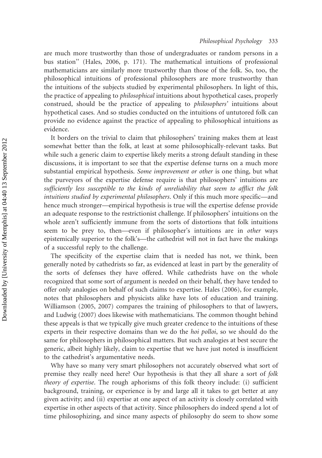are much more trustworthy than those of undergraduates or random persons in a bus station'' (Hales, 2006, p. 171). The mathematical intuitions of professional mathematicians are similarly more trustworthy than those of the folk. So, too, the philosophical intuitions of professional philosophers are more trustworthy than the intuitions of the subjects studied by experimental philosophers. In light of this, the practice of appealing to *philosophical* intuitions about hypothetical cases, properly construed, should be the practice of appealing to philosophers' intuitions about hypothetical cases. And so studies conducted on the intuitions of untutored folk can provide no evidence against the practice of appealing to philosophical intuitions as evidence.

It borders on the trivial to claim that philosophers' training makes them at least somewhat better than the folk, at least at some philosophically-relevant tasks. But while such a generic claim to expertise likely merits a strong default standing in these discussions, it is important to see that the expertise defense turns on a much more substantial empirical hypothesis. Some improvement or other is one thing, but what the purveyors of the expertise defense require is that philosophers' intuitions are sufficiently less susceptible to the kinds of unreliability that seem to afflict the folk intuitions studied by experimental philosophers. Only if this much more specific—and hence much stronger—empirical hypothesis is true will the expertise defense provide an adequate response to the restrictionist challenge. If philosophers' intuitions on the whole aren't sufficiently immune from the sorts of distortions that folk intuitions seem to be prey to, then—even if philosopher's intuitions are in other ways epistemically superior to the folk's—the cathedrist will not in fact have the makings of a successful reply to the challenge.

The specificity of the expertise claim that is needed has not, we think, been generally noted by cathedrists so far, as evidenced at least in part by the generality of the sorts of defenses they have offered. While cathedrists have on the whole recognized that some sort of argument is needed on their behalf, they have tended to offer only analogies on behalf of such claims to expertise. Hales (2006), for example, notes that philosophers and physicists alike have lots of education and training. Williamson (2005, 2007) compares the training of philosophers to that of lawyers, and Ludwig (2007) does likewise with mathematicians. The common thought behind these appeals is that we typically give much greater credence to the intuitions of these experts in their respective domains than we do the *hoi polloi*, so we should do the same for philosophers in philosophical matters. But such analogies at best secure the generic, albeit highly likely, claim to expertise that we have just noted is insufficient to the cathedrist's argumentative needs.

Why have so many very smart philosophers not accurately observed what sort of premise they really need here? Our hypothesis is that they all share a sort of folk theory of expertise. The rough aphorisms of this folk theory include: (i) sufficient background, training, or experience is by and large all it takes to get better at any given activity; and (ii) expertise at one aspect of an activity is closely correlated with expertise in other aspects of that activity. Since philosophers do indeed spend a lot of time philosophizing, and since many aspects of philosophy do seem to show some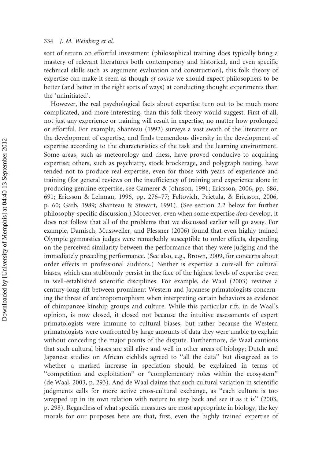sort of return on effortful investment (philosophical training does typically bring a mastery of relevant literatures both contemporary and historical, and even specific technical skills such as argument evaluation and construction), this folk theory of expertise can make it seem as though of course we should expect philosophers to be better (and better in the right sorts of ways) at conducting thought experiments than the 'uninitiated'.

However, the real psychological facts about expertise turn out to be much more complicated, and more interesting, than this folk theory would suggest. First of all, not just any experience or training will result in expertise, no matter how prolonged or effortful. For example, Shanteau (1992) surveys a vast swath of the literature on the development of expertise, and finds tremendous diversity in the development of expertise according to the characteristics of the task and the learning environment. Some areas, such as meteorology and chess, have proved conducive to acquiring expertise; others, such as psychiatry, stock brockerage, and polygraph testing, have tended not to produce real expertise, even for those with years of experience and training (for general reviews on the insufficiency of training and experience alone in producing genuine expertise, see Camerer & Johnson, 1991; Ericsson, 2006, pp. 686, 691; Ericsson & Lehman, 1996, pp. 276–77; Feltovich, Prietula, & Ericsson, 2006, p. 60; Garb, 1989; Shanteau & Stewart, 1991). (See section 2.2 below for further philosophy-specific discussion.) Moreover, even when some expertise does develop, it does not follow that all of the problems that we discussed earlier will go away. For example, Damisch, Mussweiler, and Plessner (2006) found that even highly trained Olympic gymnastics judges were remarkably susceptible to order effects, depending on the perceived similarity between the performance that they were judging and the immediately preceding performance. (See also, e.g., Brown, 2009, for concerns about order effects in professional auditors.) Neither is expertise a cure-all for cultural biases, which can stubbornly persist in the face of the highest levels of expertise even in well-established scientific disciplines. For example, de Waal (2003) reviews a century-long rift between prominent Western and Japanese primatologists concerning the threat of anthropomorphism when interpreting certain behaviors as evidence of chimpanzee kinship groups and culture. While this particular rift, in de Waal's opinion, is now closed, it closed not because the intuitive assessments of expert primatologists were immune to cultural biases, but rather because the Western primatologists were confronted by large amounts of data they were unable to explain without conceding the major points of the dispute. Furthermore, de Waal cautions that such cultural biases are still alive and well in other areas of biology; Dutch and Japanese studies on African cichlids agreed to ''all the data'' but disagreed as to whether a marked increase in speciation should be explained in terms of ''competition and exploitation'' or ''complementary roles within the ecosystem'' (de Waal, 2003, p. 293). And de Waal claims that such cultural variation in scientific judgments calls for more active cross-cultural exchange, as ''each culture is too wrapped up in its own relation with nature to step back and see it as it is'' (2003, p. 298). Regardless of what specific measures are most appropriate in biology, the key morals for our purposes here are that, first, even the highly trained expertise of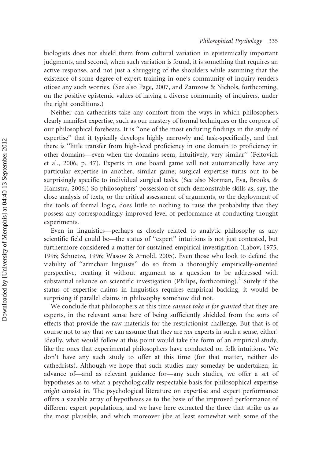biologists does not shield them from cultural variation in epistemically important judgments, and second, when such variation is found, it is something that requires an active response, and not just a shrugging of the shoulders while assuming that the existence of some degree of expert training in one's community of inquiry renders otiose any such worries. (See also Page, 2007, and Zamzow & Nichols, forthcoming, on the positive epistemic values of having a diverse community of inquirers, under the right conditions.)

Neither can cathedrists take any comfort from the ways in which philosophers clearly manifest expertise, such as our mastery of formal techniques or the corpora of our philosophical forebears. It is ''one of the most enduring findings in the study of expertise'' that it typically develops highly narrowly and task-specifically, and that there is ''little transfer from high-level proficiency in one domain to proficiency in other domains—even when the domains seem, intuitively, very similar'' (Feltovich et al., 2006, p. 47). Experts in one board game will not automatically have any particular expertise in another, similar game; surgical expertise turns out to be surprisingly specific to individual surgical tasks. (See also Norman, Eva, Brooks, & Hamstra, 2006.) So philosophers' possession of such demonstrable skills as, say, the close analysis of texts, or the critical assessment of arguments, or the deployment of the tools of formal logic, does little to nothing to raise the probability that they possess any correspondingly improved level of performance at conducting thought experiments.

Even in linguistics—perhaps as closely related to analytic philosophy as any scientific field could be—the status of ''expert'' intuitions is not just contested, but furthermore considered a matter for sustained empirical investigation (Labov, 1975, 1996; Schuetze, 1996; Wasow & Arnold, 2005). Even those who look to defend the viability of ''armchair linguists'' do so from a thoroughly empirically-oriented perspective, treating it without argument as a question to be addressed with substantial reliance on scientific investigation (Philips, forthcoming).<sup>2</sup> Surely if the status of expertise claims in linguistics requires empirical backing, it would be surprising if parallel claims in philosophy somehow did not.

We conclude that philosophers at this time *cannot take it for granted* that they are experts, in the relevant sense here of being sufficiently shielded from the sorts of effects that provide the raw materials for the restrictionist challenge. But that is of course not to say that we can assume that they are not experts in such a sense, either! Ideally, what would follow at this point would take the form of an empirical study, like the ones that experimental philosophers have conducted on folk intuitions. We don't have any such study to offer at this time (for that matter, neither do cathedrists). Although we hope that such studies may someday be undertaken, in advance of—and as relevant guidance for—any such studies, we offer a set of hypotheses as to what a psychologically respectable basis for philosophical expertise might consist in. The psychological literature on expertise and expert performance offers a sizeable array of hypotheses as to the basis of the improved performance of different expert populations, and we have here extracted the three that strike us as the most plausible, and which moreover jibe at least somewhat with some of the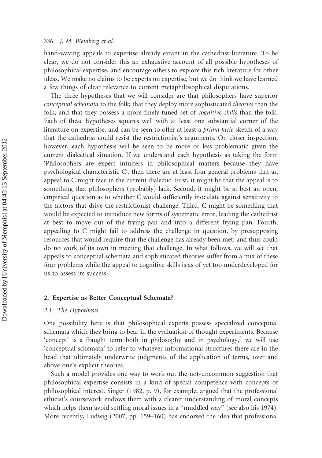hand-waving appeals to expertise already extant in the cathedrist literature. To be clear, we do not consider this an exhaustive account of all possible hypotheses of philosophical expertise, and encourage others to explore this rich literature for other ideas. We make no claims to be experts on expertise, but we do think we have learned a few things of clear relevance to current metaphilosophical disputations.

The three hypotheses that we will consider are that philosophers have superior conceptual schemata to the folk; that they deploy more sophisticated theories than the folk; and that they possess a more finely-tuned set of *cognitive skills* than the folk. Each of these hypotheses squares well with at least one substantial corner of the literature on expertise, and can be seen to offer at least a prima facie sketch of a way that the cathedrist could resist the restrictionist's arguments. On closer inspection, however, each hypothesis will be seen to be more or less problematic given the current dialectical situation. If we understand each hypothesis as taking the form 'Philosophers are expert intuiters in philosophical matters because they have psychological characteristic C', then there are at least four general problems that an appeal to C might face in the current dialectic. First, it might be that the appeal is to something that philosophers (probably) lack. Second, it might be at best an open, empirical question as to whether C would sufficiently inoculate against sensitivity to the factors that drive the restrictionist challenge. Third, C might be something that would be expected to introduce new forms of systematic error, leading the cathedrist at best to move out of the frying pan and into a different frying pan. Fourth, appealing to C might fail to address the challenge in question, by presupposing resources that would require that the challenge has already been met, and thus could do no work of its own in meeting that challenge. In what follows, we will see that appeals to conceptual schemata and sophisticated theories suffer from a mix of these four problems while the appeal to cognitive skills is as of yet too underdeveloped for us to assess its success.

#### 2. Expertise as Better Conceptual Schemata?

## 2.1. The Hypothesis

One possibility here is that philosophical experts possess specialized conceptual schemata which they bring to bear in the evaluation of thought experiments. Because 'concept' is a fraught term both in philosophy and in psychology, $3$  we will use 'conceptual schemata' to refer to whatever informational structures there are in the head that ultimately underwrite judgments of the application of terms, over and above one's explicit theories.

Such a model provides one way to work out the not-uncommon suggestion that philosophical expertise consists in a kind of special competence with concepts of philosophical interest. Singer (1982, p. 9), for example, argued that the professional ethicist's coursework endows them with a clearer understanding of moral concepts which helps them avoid settling moral issues in a ''muddled way'' (see also his 1974). More recently, Ludwig (2007, pp. 159–160) has endorsed the idea that professional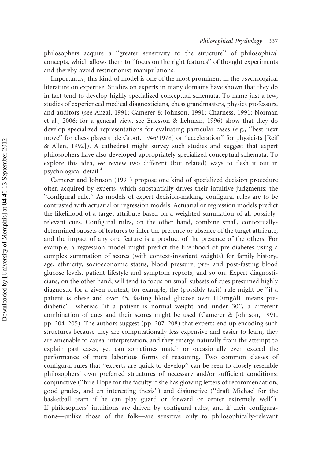philosophers acquire a ''greater sensitivity to the structure'' of philosophical concepts, which allows them to ''focus on the right features'' of thought experiments and thereby avoid restrictionist manipulations.

Importantly, this kind of model is one of the most prominent in the psychological literature on expertise. Studies on experts in many domains have shown that they do in fact tend to develop highly-specialized conceptual schemata. To name just a few, studies of experienced medical diagnosticians, chess grandmasters, physics professors, and auditors (see Anzai, 1991; Camerer & Johnson, 1991; Charness, 1991; Norman et al., 2006; for a general view, see Ericsson & Lehman, 1996) show that they do develop specialized representations for evaluating particular cases (e.g., ''best next move'' for chess players [de Groot, 1946/1978] or ''acceleration'' for physicists [Reif & Allen, 1992]). A cathedrist might survey such studies and suggest that expert philosophers have also developed appropriately specialized conceptual schemata. To explore this idea, we review two different (but related) ways to flesh it out in psychological detail.<sup>4</sup>

Camerer and Johnson (1991) propose one kind of specialized decision procedure often acquired by experts, which substantially drives their intuitive judgments: the ''configural rule.'' As models of expert decision-making, configural rules are to be contrasted with actuarial or regression models. Actuarial or regression models predict the likelihood of a target attribute based on a weighted summation of all possiblyrelevant cues. Configural rules, on the other hand, combine small, contextuallydetermined subsets of features to infer the presence or absence of the target attribute, and the impact of any one feature is a product of the presence of the others. For example, a regression model might predict the likelihood of pre-diabetes using a complex summation of scores (with context-invariant weights) for family history, age, ethnicity, socioeconomic status, blood pressure, pre- and post-fasting blood glucose levels, patient lifestyle and symptom reports, and so on. Expert diagnosticians, on the other hand, will tend to focus on small subsets of cues presumed highly diagnostic for a given context; for example, the (possibly tacit) rule might be ''if a patient is obese and over 45, fasting blood glucose over 110 mg/dL means prediabetic''—whereas ''if a patient is normal weight and under 30'', a different combination of cues and their scores might be used (Camerer & Johnson, 1991, pp. 204–205). The authors suggest (pp. 207–208) that experts end up encoding such structures because they are computationally less expensive and easier to learn, they are amenable to causal interpretation, and they emerge naturally from the attempt to explain past cases, yet can sometimes match or occasionally even exceed the performance of more laborious forms of reasoning. Two common classes of configural rules that ''experts are quick to develop'' can be seen to closely resemble philosophers' own preferred structures of necessary and/or sufficient conditions: conjunctive (''hire Hope for the faculty if she has glowing letters of recommendation, good grades, and an interesting thesis'') and disjunctive (''draft Michael for the basketball team if he can play guard or forward or center extremely well''). If philosophers' intuitions are driven by configural rules, and if their configurations—unlike those of the folk—are sensitive only to philosophically-relevant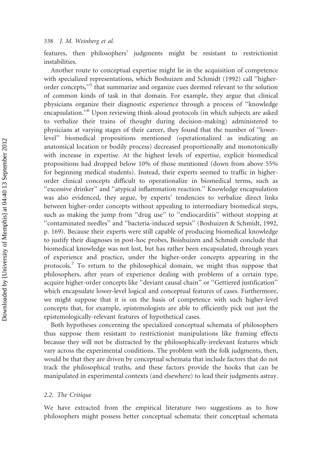features, then philosophers' judgments might be resistant to restrictionist instabilities.

Another route to conceptual expertise might lie in the acquisition of competence with specialized representations, which Boshuizen and Schmidt (1992) call ''higherorder concepts,''<sup>5</sup> that summarize and organize cues deemed relevant to the solution of common kinds of task in that domain. For example, they argue that clinical physicians organize their diagnostic experience through a process of ''knowledge encapsulation.''<sup>6</sup> Upon reviewing think-aloud protocols (in which subjects are asked to verbalize their trains of thought during decision-making) administered to physicians at varying stages of their career, they found that the number of ''lowerlevel'' biomedical propositions mentioned (operationalized as indicating an anatomical location or bodily process) decreased proportionally and monotonically with increase in expertise. At the highest levels of expertise, explicit biomedical propositions had dropped below 10% of those mentioned (down from above 55% for beginning medical students). Instead, their experts seemed to traffic in higherorder clinical concepts difficult to operationalize in biomedical terms, such as "excessive drinker" and "atypical inflammation reaction." Knowledge encapsulation was also evidenced, they argue, by experts' tendencies to verbalize direct links between higher-order concepts without appealing to intermediary biomedical steps, such as making the jump from "drug use" to "endiocarditis" without stopping at ''contaminated needles'' and ''bacteria-induced sepsis'' (Boshuizen & Schmidt, 1992, p. 169). Because their experts were still capable of producing biomedical knowledge to justify their diagnoses in post-hoc probes, Boishuizen and Schmidt conclude that biomedical knowledge was not lost, but has rather been encapsulated, through years of experience and practice, under the higher-order concepts appearing in the protocols. $7$  To return to the philosophical domain, we might thus suppose that philosophers, after years of experience dealing with problems of a certain type, acquire higher-order concepts like ''deviant causal chain'' or ''Gettiered justification'' which encapsulate lower-level logical and conceptual features of cases. Furthermore, we might suppose that it is on the basis of competence with such higher-level concepts that, for example, epistemologists are able to efficiently pick out just the epistemologically-relevant features of hypothetical cases.

Both hypotheses concerning the specialized conceptual schemata of philosophers thus suppose them resistant to restrictionist manipulations like framing effects because they will not be distracted by the philosophically-irrelevant features which vary across the experimental conditions. The problem with the folk judgments, then, would be that they are driven by conceptual schemata that include factors that do not track the philosophical truths, and these factors provide the hooks that can be manipulated in experimental contexts (and elsewhere) to lead their judgments astray.

#### 2.2. The Critique

We have extracted from the empirical literature two suggestions as to how philosophers might possess better conceptual schemata: their conceptual schemata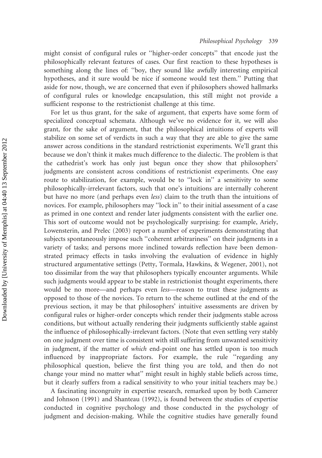might consist of configural rules or ''higher-order concepts'' that encode just the philosophically relevant features of cases. Our first reaction to these hypotheses is something along the lines of: ''boy, they sound like awfully interesting empirical hypotheses, and it sure would be nice if someone would test them.'' Putting that aside for now, though, we are concerned that even if philosophers showed hallmarks of configural rules or knowledge encapsulation, this still might not provide a sufficient response to the restrictionist challenge at this time.

For let us thus grant, for the sake of argument, that experts have some form of specialized conceptual schemata. Although we've no evidence for it, we will also grant, for the sake of argument, that the philosophical intuitions of experts will stabilize on some set of verdicts in such a way that they are able to give the same answer across conditions in the standard restrictionist experiments. We'll grant this because we don't think it makes much difference to the dialectic. The problem is that the cathedrist's work has only just begun once they show that philosophers' judgments are consistent across conditions of restrictionist experiments. One easy route to stabilization, for example, would be to ''lock in'' a sensitivity to some philosophically-irrelevant factors, such that one's intuitions are internally coherent but have no more (and perhaps even less) claim to the truth than the intuitions of novices. For example, philosophers may ''lock in'' to their initial assessment of a case as primed in one context and render later judgments consistent with the earlier one. This sort of outcome would not be psychologically surprising: for example, Ariely, Lowensterin, and Prelec (2003) report a number of experiments demonstrating that subjects spontaneously impose such ''coherent arbitrariness'' on their judgments in a variety of tasks; and persons more inclined towards reflection have been demonstrated primacy effects in tasks involving the evaluation of evidence in highly structured argumentative settings (Petty, Tormala, Hawkins, & Wegener, 2001), not too dissimilar from the way that philosophers typically encounter arguments. While such judgments would appear to be stable in restrictionist thought experiments, there would be no more—and perhaps even less—reason to trust these judgments as opposed to those of the novices. To return to the scheme outlined at the end of the previous section, it may be that philosophers' intuitive assessments are driven by configural rules or higher-order concepts which render their judgments stable across conditions, but without actually rendering their judgments sufficiently stable against the influence of philosophically-irrelevant factors. (Note that even settling very stably on one judgment over time is consistent with still suffering from unwanted sensitivity in judgment, if the matter of which end-point one has settled upon is too much influenced by inappropriate factors. For example, the rule ''regarding any philosophical question, believe the first thing you are told, and then do not change your mind no matter what'' might result in highly stable beliefs across time, but it clearly suffers from a radical sensitivity to who your initial teachers may be.)

A fascinating incongruity in expertise research, remarked upon by both Camerer and Johnson (1991) and Shanteau (1992), is found between the studies of expertise conducted in cognitive psychology and those conducted in the psychology of judgment and decision-making. While the cognitive studies have generally found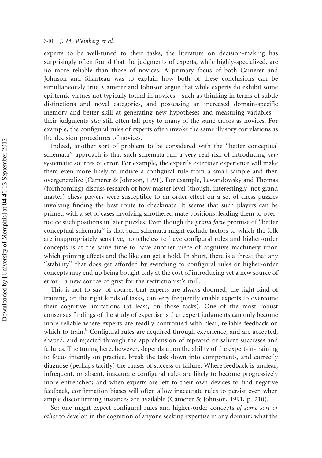experts to be well-tuned to their tasks, the literature on decision-making has surprisingly often found that the judgments of experts, while highly-specialized, are no more reliable than those of novices. A primary focus of both Camerer and Johnson and Shanteau was to explain how both of these conclusions can be simultaneously true. Camerer and Johnson argue that while experts do exhibit some epistemic virtues not typically found in novices—such as thinking in terms of subtle distinctions and novel categories, and possessing an increased domain-specific memory and better skill at generating new hypotheses and measuring variables their judgments also still often fall prey to many of the same errors as novices. For example, the configural rules of experts often invoke the same illusory correlations as the decision procedures of novices.

Indeed, another sort of problem to be considered with the ''better conceptual schemata" approach is that such schemata run a very real risk of introducing new systematic sources of error. For example, the expert's extensive experience will make them even more likely to induce a configural rule from a small sample and then overgeneralize (Camerer & Johnson, 1991). For example, Lewandowsky and Thomas (forthcoming) discuss research of how master level (though, interestingly, not grand master) chess players were susceptible to an order effect on a set of chess puzzles involving finding the best route to checkmate. It seems that such players can be primed with a set of cases involving smothered mate positions, leading them to overnotice such positions in later puzzles. Even though the *prima facie* promise of "better conceptual schemata'' is that such schemata might exclude factors to which the folk are inappropriately sensitive, nonetheless to have configural rules and higher-order concepts is at the same time to have another piece of cognitive machinery upon which priming effects and the like can get a hold. In short, there is a threat that any ''stability'' that does get afforded by switching to configural rules or higher-order concepts may end up being bought only at the cost of introducing yet a new source of error—a new source of grist for the restrictionist's mill.

This is not to say, of course, that experts are always doomed; the right kind of training, on the right kinds of tasks, can very frequently enable experts to overcome their cognitive limitations (at least, on those tasks). One of the most robust consensus findings of the study of expertise is that expert judgments can only become more reliable where experts are readily confronted with clear, reliable feedback on which to train.<sup>8</sup> Configural rules are acquired through experience, and are accepted, shaped, and rejected through the apprehension of repeated or salient successes and failures. The tuning here, however, depends upon the ability of the expert-in-training to focus intently on practice, break the task down into components, and correctly diagnose (perhaps tacitly) the causes of success or failure. Where feedback is unclear, infrequent, or absent, inaccurate configural rules are likely to become progressively more entrenched; and when experts are left to their own devices to find negative feedback, confirmation biases will often allow inaccurate rules to persist even when ample disconfirming instances are available (Camerer & Johnson, 1991, p. 210).

So: one might expect configural rules and higher-order concepts of some sort or other to develop in the cognition of anyone seeking expertise in any domain; what the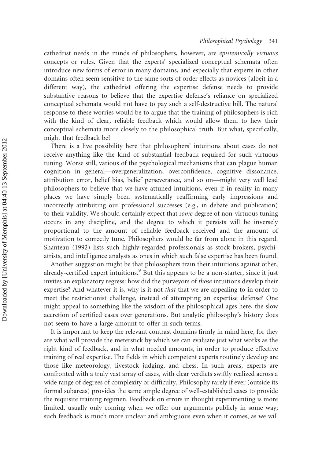cathedrist needs in the minds of philosophers, however, are epistemically virtuous concepts or rules. Given that the experts' specialized conceptual schemata often introduce new forms of error in many domains, and especially that experts in other domains often seem sensitive to the same sorts of order effects as novices (albeit in a different way), the cathedrist offering the expertise defense needs to provide substantive reasons to believe that the expertise defense's reliance on specialized conceptual schemata would not have to pay such a self-destructive bill. The natural response to these worries would be to argue that the training of philosophers is rich with the kind of clear, reliable feedback which would allow them to hew their conceptual schemata more closely to the philosophical truth. But what, specifically, might that feedback be?

There is a live possibility here that philosophers' intuitions about cases do not receive anything like the kind of substantial feedback required for such virtuous tuning. Worse still, various of the psychological mechanisms that can plague human cognition in general—overgeneralization, overconfidence, cognitive dissonance, attribution error, belief bias, belief perseverance, and so on—might very well lead philosophers to believe that we have attuned intuitions, even if in reality in many places we have simply been systematically reaffirming early impressions and incorrectly attributing our professional successes (e.g., in debate and publication) to their validity. We should certainly expect that *some* degree of non-virtuous tuning occurs in any discipline, and the degree to which it persists will be inversely proportional to the amount of reliable feedback received and the amount of motivation to correctly tune. Philosophers would be far from alone in this regard. Shanteau (1992) lists such highly-regarded professionals as stock brokers, psychiatrists, and intelligence analysts as ones in which such false expertise has been found.

Another suggestion might be that philosophers train their intuitions against other, already-certified expert intuitions. <sup>9</sup> But this appears to be a non-starter, since it just invites an explanatory regress: how did the purveyors of those intuitions develop their expertise? And whatever it is, why is it not *that* that we are appealing to in order to meet the restrictionist challenge, instead of attempting an expertise defense? One might appeal to something like the wisdom of the philosophical ages here, the slow accretion of certified cases over generations. But analytic philosophy's history does not seem to have a large amount to offer in such terms.

It is important to keep the relevant contrast domains firmly in mind here, for they are what will provide the meterstick by which we can evaluate just what works as the right kind of feedback, and in what needed amounts, in order to produce effective training of real expertise. The fields in which competent experts routinely develop are those like meteorology, livestock judging, and chess. In such areas, experts are confronted with a truly vast array of cases, with clear verdicts swiftly realized across a wide range of degrees of complexity or difficulty. Philosophy rarely if ever (outside its formal subareas) provides the same ample degree of well-established cases to provide the requisite training regimen. Feedback on errors in thought experimenting is more limited, usually only coming when we offer our arguments publicly in some way; such feedback is much more unclear and ambiguous even when it comes, as we will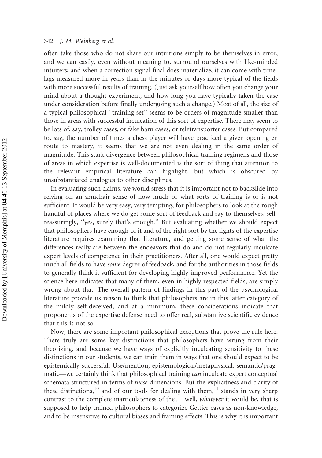often take those who do not share our intuitions simply to be themselves in error, and we can easily, even without meaning to, surround ourselves with like-minded intuiters; and when a correction signal final does materialize, it can come with timelags measured more in years than in the minutes or days more typical of the fields with more successful results of training. (Just ask yourself how often you change your mind about a thought experiment, and how long you have typically taken the case under consideration before finally undergoing such a change.) Most of all, the size of a typical philosophical ''training set'' seems to be orders of magnitude smaller than those in areas with successful inculcation of this sort of expertise. There may seem to be lots of, say, trolley cases, or fake barn cases, or teletransporter cases. But compared to, say, the number of times a chess player will have practiced a given opening en route to mastery, it seems that we are not even dealing in the same order of magnitude. This stark divergence between philosophical training regimens and those of areas in which expertise is well-documented is the sort of thing that attention to the relevant empirical literature can highlight, but which is obscured by unsubstantiated analogies to other disciplines.

In evaluating such claims, we would stress that it is important not to backslide into relying on an armchair sense of how much or what sorts of training is or is not sufficient. It would be very easy, very tempting, for philosophers to look at the rough handful of places where we do get some sort of feedback and say to themselves, selfreassuringly, ''yes, surely that's enough.'' But evaluating whether we should expect that philosophers have enough of it and of the right sort by the lights of the expertise literature requires examining that literature, and getting some sense of what the differences really are between the endeavors that do and do not regularly inculcate expert levels of competence in their practitioners. After all, one would expect pretty much all fields to have *some* degree of feedback, and for the authorities in those fields to generally think it sufficient for developing highly improved performance. Yet the science here indicates that many of them, even in highly respected fields, are simply wrong about that. The overall pattern of findings in this part of the psychological literature provide us reason to think that philosophers are in this latter category of the mildly self-deceived, and at a minimum, these considerations indicate that proponents of the expertise defense need to offer real, substantive scientific evidence that this is not so.

Now, there are some important philosophical exceptions that prove the rule here. There truly are some key distinctions that philosophers have wrung from their theorizing, and because we have ways of explicitly inculcating sensitivity to these distinctions in our students, we can train them in ways that one should expect to be epistemically successful. Use/mention, epistemological/metaphysical, semantic/pragmatic—we certainly think that philosophical training *can* inculcate expert conceptual schemata structured in terms of these dimensions. But the explicitness and clarity of these distinctions,<sup>10</sup> and of our tools for dealing with them, $11$  stands in very sharp contrast to the complete inarticulateness of the ...well, whatever it would be, that is supposed to help trained philosophers to categorize Gettier cases as non-knowledge, and to be insensitive to cultural biases and framing effects. This is why it is important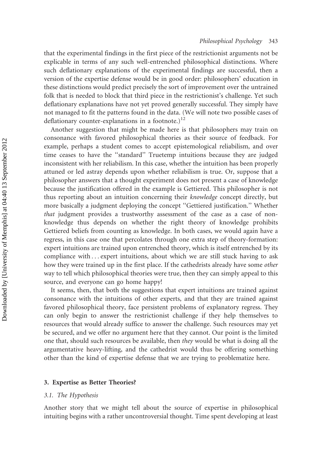that the experimental findings in the first piece of the restrictionist arguments not be explicable in terms of any such well-entrenched philosophical distinctions. Where such deflationary explanations of the experimental findings are successful, then a version of the expertise defense would be in good order: philosophers' education in these distinctions would predict precisely the sort of improvement over the untrained folk that is needed to block that third piece in the restrictionist's challenge. Yet such deflationary explanations have not yet proved generally successful. They simply have not managed to fit the patterns found in the data. (We will note two possible cases of deflationary counter-explanations in a footnote.)<sup>12</sup>

Another suggestion that might be made here is that philosophers may train on consonance with favored philosophical theories as their source of feedback. For example, perhaps a student comes to accept epistemological reliabilism, and over time ceases to have the ''standard'' Truetemp intuitions because they are judged inconsistent with her reliabilism. In this case, whether the intuition has been properly attuned or led astray depends upon whether reliabilism is true. Or, suppose that a philosopher answers that a thought experiment does not present a case of knowledge because the justification offered in the example is Gettiered. This philosopher is not thus reporting about an intuition concerning their knowledge concept directly, but more basically a judgment deploying the concept ''Gettiered justification.'' Whether that judgment provides a trustworthy assessment of the case as a case of nonknowledge thus depends on whether the right theory of knowledge prohibits Gettiered beliefs from counting as knowledge. In both cases, we would again have a regress, in this case one that percolates through one extra step of theory-formation: expert intuitions are trained upon entrenched theory, which is itself entrenched by its compliance with ... expert intuitions, about which we are still stuck having to ask how they were trained up in the first place. If the cathedrists already have some other way to tell which philosophical theories were true, then they can simply appeal to this source, and everyone can go home happy!

It seems, then, that both the suggestions that expert intuitions are trained against consonance with the intuitions of other experts, and that they are trained against favored philosophical theory, face persistent problems of explanatory regress. They can only begin to answer the restrictionist challenge if they help themselves to resources that would already suffice to answer the challenge. Such resources may yet be secured, and we offer no argument here that they cannot. Our point is the limited one that, should such resources be available, then they would be what is doing all the argumentative heavy-lifting, and the cathedrist would thus be offering something other than the kind of expertise defense that we are trying to problematize here.

## 3. Expertise as Better Theories?

## 3.1. The Hypothesis

Another story that we might tell about the source of expertise in philosophical intuiting begins with a rather uncontroversial thought. Time spent developing at least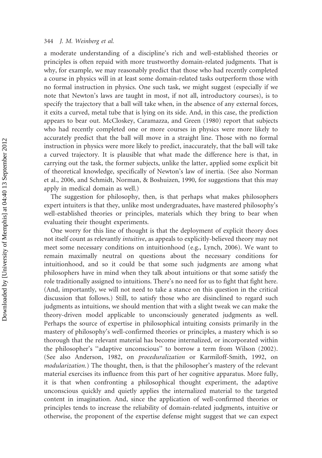a moderate understanding of a discipline's rich and well-established theories or principles is often repaid with more trustworthy domain-related judgments. That is why, for example, we may reasonably predict that those who had recently completed a course in physics will in at least some domain-related tasks outperform those with no formal instruction in physics. One such task, we might suggest (especially if we note that Newton's laws are taught in most, if not all, introductory courses), is to specify the trajectory that a ball will take when, in the absence of any external forces, it exits a curved, metal tube that is lying on its side. And, in this case, the prediction appears to bear out. McCloskey, Caramazza, and Green (1980) report that subjects who had recently completed one or more courses in physics were more likely to accurately predict that the ball will move in a straight line. Those with no formal instruction in physics were more likely to predict, inaccurately, that the ball will take a curved trajectory. It is plausible that what made the difference here is that, in carrying out the task, the former subjects, unlike the latter, applied some explicit bit of theoretical knowledge, specifically of Newton's law of inertia. (See also Norman et al., 2006, and Schmidt, Norman, & Boshuizen, 1990, for suggestions that this may apply in medical domain as well.)

The suggestion for philosophy, then, is that perhaps what makes philosophers expert intuiters is that they, unlike most undergraduates, have mastered philosophy's well-established theories or principles, materials which they bring to bear when evaluating their thought experiments.

One worry for this line of thought is that the deployment of explicit theory does not itself count as relevantly intuitive, as appeals to explicitly-believed theory may not meet some necessary conditions on intuitionhood (e.g., Lynch, 2006). We want to remain maximally neutral on questions about the necessary conditions for intuitionhood, and so it could be that some such judgments are among what philosophers have in mind when they talk about intuitions or that some satisfy the role traditionally assigned to intuitions. There's no need for us to fight that fight here. (And, importantly, we will not need to take a stance on this question in the critical discussion that follows.) Still, to satisfy those who are disinclined to regard such judgments as intuitions, we should mention that with a slight tweak we can make the theory-driven model applicable to unconsciously generated judgments as well. Perhaps the source of expertise in philosophical intuiting consists primarily in the mastery of philosophy's well-confirmed theories or principles, a mastery which is so thorough that the relevant material has become internalized, or incorporated within the philosopher's ''adaptive unconscious'' to borrow a term from Wilson (2002). (See also Anderson, 1982, on proceduralization or Karmiloff-Smith, 1992, on *modularization.*) The thought, then, is that the philosopher's mastery of the relevant material exercises its influence from this part of her cognitive apparatus. More fully, it is that when confronting a philosophical thought experiment, the adaptive unconscious quickly and quietly applies the internalized material to the targeted content in imagination. And, since the application of well-confirmed theories or principles tends to increase the reliability of domain-related judgments, intuitive or otherwise, the proponent of the expertise defense might suggest that we can expect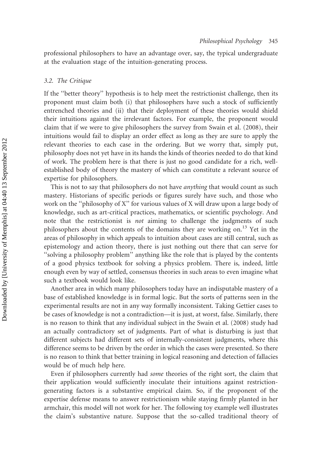professional philosophers to have an advantage over, say, the typical undergraduate at the evaluation stage of the intuition-generating process.

#### 3.2. The Critique

If the ''better theory'' hypothesis is to help meet the restrictionist challenge, then its proponent must claim both (i) that philosophers have such a stock of sufficiently entrenched theories and (ii) that their deployment of these theories would shield their intuitions against the irrelevant factors. For example, the proponent would claim that if we were to give philosophers the survey from Swain et al. (2008), their intuitions would fail to display an order effect as long as they are sure to apply the relevant theories to each case in the ordering. But we worry that, simply put, philosophy does not yet have in its hands the kinds of theories needed to do that kind of work. The problem here is that there is just no good candidate for a rich, wellestablished body of theory the mastery of which can constitute a relevant source of expertise for philosophers.

This is not to say that philosophers do not have *anything* that would count as such mastery. Historians of specific periods or figures surely have such, and those who work on the ''philosophy of X'' for various values of X will draw upon a large body of knowledge, such as art-critical practices, mathematics, or scientific psychology. And note that the restrictionist is not aiming to challenge the judgments of such philosophers about the contents of the domains they are working on.<sup>13</sup> Yet in the areas of philosophy in which appeals to intuition about cases are still central, such as epistemology and action theory, there is just nothing out there that can serve for ''solving a philosophy problem'' anything like the role that is played by the contents of a good physics textbook for solving a physics problem. There is, indeed, little enough even by way of settled, consensus theories in such areas to even imagine what such a textbook would look like.

Another area in which many philosophers today have an indisputable mastery of a base of established knowledge is in formal logic. But the sorts of patterns seen in the experimental results are not in any way formally inconsistent. Taking Gettier cases to be cases of knowledge is not a contradiction—it is just, at worst, false. Similarly, there is no reason to think that any individual subject in the Swain et al. (2008) study had an actually contradictory set of judgments. Part of what is disturbing is just that different subjects had different sets of internally-consistent judgments, where this difference seems to be driven by the order in which the cases were presented. So there is no reason to think that better training in logical reasoning and detection of fallacies would be of much help here.

Even if philosophers currently had some theories of the right sort, the claim that their application would sufficiently inoculate their intuitions against restrictiongenerating factors is a substantive empirical claim. So, if the proponent of the expertise defense means to answer restrictionism while staying firmly planted in her armchair, this model will not work for her. The following toy example well illustrates the claim's substantive nature. Suppose that the so-called traditional theory of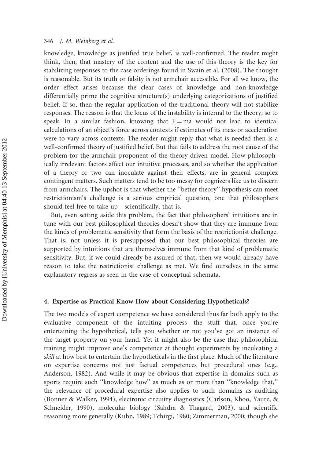knowledge, knowledge as justified true belief, is well-confirmed. The reader might think, then, that mastery of the content and the use of this theory is the key for stabilizing responses to the case orderings found in Swain et al. (2008). The thought is reasonable. But its truth or falsity is not armchair accessible. For all we know, the order effect arises because the clear cases of knowledge and non-knowledge differentially prime the cognitive structure(s) underlying categorizations of justified belief. If so, then the regular application of the traditional theory will not stabilize responses. The reason is that the locus of the instability is internal to the theory, so to speak. In a similar fashion, knowing that  $F = ma$  would not lead to identical calculations of an object's force across contexts if estimates of its mass or acceleration were to vary across contexts. The reader might reply that what is needed then is a well-confirmed theory of justified belief. But that fails to address the root cause of the problem for the armchair proponent of the theory-driven model. How philosophically irrelevant factors affect our intuitive processes, and so whether the application of a theory or two can inoculate against their effects, are in general complex contingent matters. Such matters tend to be too messy for cognizers like us to discern from armchairs. The upshot is that whether the ''better theory'' hypothesis can meet restrictionism's challenge is a serious empirical question, one that philosophers should feel free to take up—scientifically, that is.

But, even setting aside this problem, the fact that philosophers' intuitions are in tune with our best philosophical theories doesn't show that they are immune from the kinds of problematic sensitivity that form the basis of the restrictionist challenge. That is, not unless it is presupposed that our best philosophical theories are supported by intuitions that are themselves immune from that kind of problematic sensitivity. But, if we could already be assured of that, then we would already have reason to take the restrictionist challenge as met. We find ourselves in the same explanatory regress as seen in the case of conceptual schemata.

#### 4. Expertise as Practical Know-How about Considering Hypotheticals?

The two models of expert competence we have considered thus far both apply to the evaluative component of the intuiting process—the stuff that, once you're entertaining the hypothetical, tells you whether or not you've got an instance of the target property on your hand. Yet it might also be the case that philosophical training might improve one's competence at thought experiments by inculcating a skill at how best to entertain the hypotheticals in the first place. Much of the literature on expertise concerns not just factual competences but procedural ones (e.g., Anderson, 1982). And while it may be obvious that expertise in domains such as sports require such ''knowledge how'' as much as or more than ''knowledge that,'' the relevance of procedural expertise also applies to such domains as auditing (Bonner & Walker, 1994), electronic circuitry diagnostics (Carlson, Khoo, Yaure, & Schneider, 1990), molecular biology (Sahdra & Thagard, 2003), and scientific reasoning more generally (Kuhn, 1989; Tchirgi, 1980; Zimmerman, 2000; though she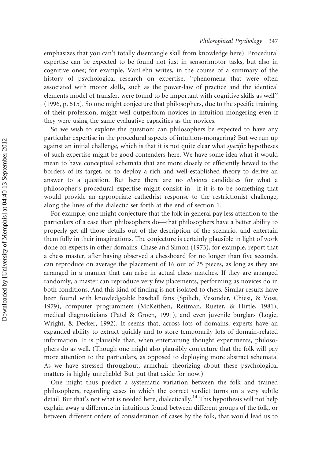emphasizes that you can't totally disentangle skill from knowledge here). Procedural expertise can be expected to be found not just in sensorimotor tasks, but also in cognitive ones; for example, VanLehn writes, in the course of a summary of the history of psychological research on expertise, ''phenomena that were often associated with motor skills, such as the power-law of practice and the identical elements model of transfer, were found to be important with cognitive skills as well'' (1996, p. 515). So one might conjecture that philosophers, due to the specific training of their profession, might well outperform novices in intuition-mongering even if they were using the same evaluative capacities as the novices.

So we wish to explore the question: can philosophers be expected to have any particular expertise in the procedural aspects of intuition-mongering? But we run up against an initial challenge, which is that it is not quite clear what specific hypotheses of such expertise might be good contenders here. We have some idea what it would mean to have conceptual schemata that are more closely or efficiently hewed to the borders of its target, or to deploy a rich and well-established theory to derive an answer to a question. But here there are no *obvious* candidates for what a philosopher's procedural expertise might consist in—if it is to be something that would provide an appropriate cathedrist response to the restrictionist challenge, along the lines of the dialectic set forth at the end of section 1.

For example, one might conjecture that the folk in general pay less attention to the particulars of a case than philosophers do—that philosophers have a better ability to properly get all those details out of the description of the scenario, and entertain them fully in their imaginations. The conjecture is certainly plausible in light of work done on experts in other domains. Chase and Simon (1973), for example, report that a chess master, after having observed a chessboard for no longer than five seconds, can reproduce on average the placement of 16 out of 25 pieces, as long as they are arranged in a manner that can arise in actual chess matches. If they are arranged randomly, a master can reproduce very few placements, performing as novices do in both conditions. And this kind of finding is not isolated to chess. Similar results have been found with knowledgeable baseball fans (Spilich, Vesonder, Chiesi, & Voss, 1979), computer programmers (McKeithen, Reitman, Rueter, & Hirtle, 1981), medical diagnosticians (Patel & Groen, 1991), and even juvenile burglars (Logie, Wright, & Decker, 1992). It seems that, across lots of domains, experts have an expanded ability to extract quickly and to store temporarily lots of domain-related information. It is plausible that, when entertaining thought experiments, philosophers do as well. (Though one might also plausibly conjecture that the folk will pay more attention to the particulars, as opposed to deploying more abstract schemata. As we have stressed throughout, armchair theorizing about these psychological matters is highly unreliable! But put that aside for now.)

One might thus predict a systematic variation between the folk and trained philosophers, regarding cases in which the correct verdict turns on a very subtle detail. But that's not what is needed here, dialectically.<sup>14</sup> This hypothesis will not help explain away a difference in intuitions found between different groups of the folk, or between different orders of consideration of cases by the folk, that would lead us to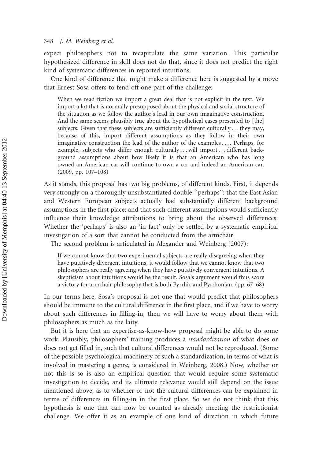expect philosophers not to recapitulate the same variation. This particular hypothesized difference in skill does not do that, since it does not predict the right kind of systematic differences in reported intuitions.

One kind of difference that might make a difference here is suggested by a move that Ernest Sosa offers to fend off one part of the challenge:

When we read fiction we import a great deal that is not explicit in the text. We import a lot that is normally presupposed about the physical and social structure of the situation as we follow the author's lead in our own imaginative construction. And the same seems plausibly true about the hypothetical cases presented to [the] subjects. Given that these subjects are sufficiently different culturally ... they may, because of this, import different assumptions as they follow in their own imaginative construction the lead of the author of the examples... . Perhaps, for example, subjects who differ enough culturally ...will import ... different background assumptions about how likely it is that an American who has long owned an American car will continue to own a car and indeed an American car. (2009, pp. 107–108)

As it stands, this proposal has two big problems, of different kinds. First, it depends very strongly on a thoroughly unsubstantiated double-''perhaps'': that the East Asian and Western European subjects actually had substantially different background assumptions in the first place; and that such different assumptions would sufficiently influence their knowledge attributions to bring about the observed differences. Whether the 'perhaps' is also an 'in fact' only be settled by a systematic empirical investigation of a sort that cannot be conducted from the armchair.

The second problem is articulated in Alexander and Weinberg (2007):

If we cannot know that two experimental subjects are really disagreeing when they have putatively divergent intuitions, it would follow that we cannot know that two philosophers are really agreeing when they have putatively convergent intuitions. A skepticism about intuitions would be the result. Sosa's argument would thus score a victory for armchair philosophy that is both Pyrrhic and Pyrrhonian. (pp. 67–68)

In our terms here, Sosa's proposal is not one that would predict that philosophers should be immune to the cultural difference in the first place, and if we have to worry about such differences in filling-in, then we will have to worry about them with philosophers as much as the laity.

But it is here that an expertise-as-know-how proposal might be able to do some work. Plausibly, philosophers' training produces a standardization of what does or does not get filled in, such that cultural differences would not be reproduced. (Some of the possible psychological machinery of such a standardization, in terms of what is involved in mastering a genre, is considered in Weinberg, 2008.) Now, whether or not this is so is also an empirical question that would require some systematic investigation to decide, and its ultimate relevance would still depend on the issue mentioned above, as to whether or not the cultural differences can be explained in terms of differences in filling-in in the first place. So we do not think that this hypothesis is one that can now be counted as already meeting the restrictionist challenge. We offer it as an example of one kind of direction in which future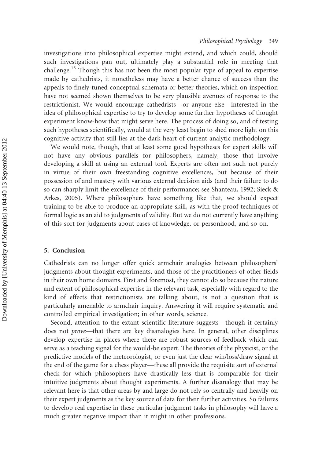investigations into philosophical expertise might extend, and which could, should such investigations pan out, ultimately play a substantial role in meeting that challenge.<sup>15</sup> Though this has not been the most popular type of appeal to expertise made by cathedrists, it nonetheless may have a better chance of success than the appeals to finely-tuned conceptual schemata or better theories, which on inspection have not seemed shown themselves to be very plausible avenues of response to the restrictionist. We would encourage cathedrists—or anyone else—interested in the idea of philosophical expertise to try to develop some further hypotheses of thought experiment know-how that might serve here. The process of doing so, and of testing such hypotheses scientifically, would at the very least begin to shed more light on this cognitive activity that still lies at the dark heart of current analytic methodology.

We would note, though, that at least some good hypotheses for expert skills will not have any obvious parallels for philosophers, namely, those that involve developing a skill at using an external tool. Experts are often not such not purely in virtue of their own freestanding cognitive excellences, but because of their possession of and mastery with various external decision aids (and their failure to do so can sharply limit the excellence of their performance; see Shanteau, 1992; Sieck & Arkes, 2005). Where philosophers have something like that, we should expect training to be able to produce an appropriate skill, as with the proof techniques of formal logic as an aid to judgments of validity. But we do not currently have anything of this sort for judgments about cases of knowledge, or personhood, and so on.

#### 5. Conclusion

Cathedrists can no longer offer quick armchair analogies between philosophers' judgments about thought experiments, and those of the practitioners of other fields in their own home domains. First and foremost, they cannot do so because the nature and extent of philosophical expertise in the relevant task, especially with regard to the kind of effects that restrictionists are talking about, is not a question that is particularly amenable to armchair inquiry. Answering it will require systematic and controlled empirical investigation; in other words, science.

Second, attention to the extant scientific literature suggests—though it certainly does not prove—that there are key disanalogies here. In general, other disciplines develop expertise in places where there are robust sources of feedback which can serve as a teaching signal for the would-be expert. The theories of the physicist, or the predictive models of the meteorologist, or even just the clear win/loss/draw signal at the end of the game for a chess player—these all provide the requisite sort of external check for which philosophers have drastically less that is comparable for their intuitive judgments about thought experiments. A further disanalogy that may be relevant here is that other areas by and large do not rely so centrally and heavily on their expert judgments as the key source of data for their further activities. So failures to develop real expertise in these particular judgment tasks in philosophy will have a much greater negative impact than it might in other professions.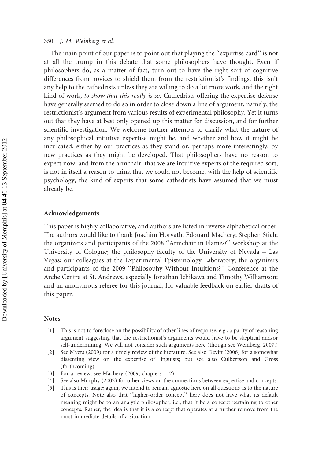The main point of our paper is to point out that playing the ''expertise card'' is not at all the trump in this debate that some philosophers have thought. Even if philosophers do, as a matter of fact, turn out to have the right sort of cognitive differences from novices to shield them from the restrictionist's findings, this isn't any help to the cathedrists unless they are willing to do a lot more work, and the right kind of work, to show that this really is so. Cathedrists offering the expertise defense have generally seemed to do so in order to close down a line of argument, namely, the restrictionist's argument from various results of experimental philosophy. Yet it turns out that they have at best only opened up this matter for discussion, and for further scientific investigation. We welcome further attempts to clarify what the nature of any philosophical intuitive expertise might be, and whether and how it might be inculcated, either by our practices as they stand or, perhaps more interestingly, by new practices as they might be developed. That philosophers have no reason to expect now, and from the armchair, that we are intuitive experts of the required sort, is not in itself a reason to think that we could not become, with the help of scientific psychology, the kind of experts that some cathedrists have assumed that we must already be.

#### Acknowledgements

This paper is highly collaborative, and authors are listed in reverse alphabetical order. The authors would like to thank Joachim Horvath; Edouard Machery; Stephen Stich; the organizers and participants of the 2008 ''Armchair in Flames?'' workshop at the University of Cologne; the philosophy faculty of the University of Nevada – Las Vegas; our colleagues at the Experimental Epistemology Laboratory; the organizers and participants of the 2009 ''Philosophy Without Intuitions?'' Conference at the Arche Centre at St. Andrews, especially Jonathan Ichikawa and Timothy Williamson; and an anonymous referee for this journal, for valuable feedback on earlier drafts of this paper.

#### Notes

- [1] This is not to foreclose on the possibility of other lines of response, e.g., a parity of reasoning argument suggesting that the restrictionist's arguments would have to be skeptical and/or self-undermining. We will not consider such arguments here (though see Weinberg, 2007.)
- [2] See Myers (2009) for a timely review of the literature. See also Devitt (2006) for a somewhat dissenting view on the expertise of linguists; but see also Culbertson and Gross (forthcoming).
- [3] For a review, see Machery (2009, chapters 1–2).
- [4] See also Murphy (2002) for other views on the connections between expertise and concepts.
- [5] This is their usage; again, we intend to remain agnostic here on all questions as to the nature of concepts. Note also that ''higher-order concept'' here does not have what its default meaning might be to an analytic philosopher, i.e., that it be a concept pertaining to other concepts. Rather, the idea is that it is a concept that operates at a further remove from the most immediate details of a situation.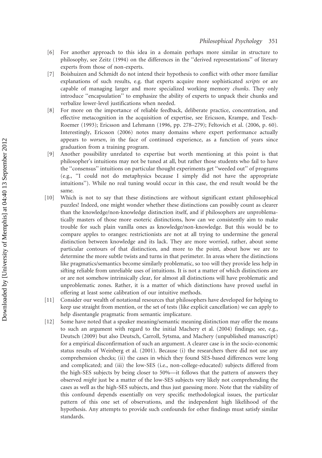- [6] For another approach to this idea in a domain perhaps more similar in structure to philosophy, see Zeitz (1994) on the differences in the ''derived representations'' of literary experts from those of non-experts.
- [7] Boishuizen and Schmidt do not intend their hypothesis to conflict with other more familiar explanations of such results, e.g. that experts acquire more sophisticated scripts or are capable of managing larger and more specialized working memory chunks. They only introduce ''encapsulation'' to emphasize the ability of experts to unpack their chunks and verbalize lower-level justifications when needed.
- [8] For more on the importance of reliable feedback, deliberate practice, concentration, and effective metacognition in the acquisition of expertise, see Ericsson, Krampe, and Tesch-Roemer (1993); Ericsson and Lehmann (1996, pp. 278–279); Feltovich et al. (2006, p. 60). Interestingly, Ericsson (2006) notes many domains where expert performance actually appears to worsen, in the face of continued experience, as a function of years since graduation from a training program.
- [9] Another possibility unrelated to expertise but worth mentioning at this point is that philosopher's intuitions may not be tuned at all, but rather those students who fail to have the ''consensus'' intuitions on particular thought experiments get ''weeded out'' of programs (e.g., ''I could not do metaphysics because I simply did not have the appropriate intuitions''). While no real tuning would occur in this case, the end result would be the same.
- [10] Which is not to say that these distinctions are without significant extant philosophical puzzles! Indeed, one might wonder whether these distinctions can possibly count as clearer than the knowledge/non-knowledge distinction itself, and if philosophers are unproblematically masters of those more esoteric distinctions, how can we consistently aim to make trouble for such plain vanilla ones as knowledge/non-knowledge. But this would be to compare apples to oranges: restrictionists are not at all trying to undermine the general distinction between knowledge and its lack. They are more worried, rather, about some particular contours of that distinction, and more to the point, about how we are to determine the more subtle twists and turns in that perimeter. In areas where the distinctions like pragmatics/semantics become similarly problematic, so too will they provide less help in sifting reliable from unreliable uses of intuitions. It is not a matter of which distinctions are or are not somehow intrinsically clear, for almost all distinctions will have problematic and unproblematic zones. Rather, it is a matter of which distinctions have proved useful in offering at least some calibration of our intuitive methods.
- [11] Consider our wealth of notational resources that philosophers have developed for helping to keep use straight from mention, or the set of tests (like explicit cancellation) we can apply to help disentangle pragmatic from semantic implicature.
- [12] Some have noted that a speaker meaning/semantic meaning distinction may offer the means to such an argument with regard to the initial Machery et al. (2004) findings; see, e.g., Deutsch (2009) but also Deutsch, Carroll, Sytsma, and Machery (unpublished manuscript) for a empirical disconfirmation of such an argument. A clearer case is in the socio-economic status results of Weinberg et al. (2001). Because (i) the researchers there did not use any comprehension checks; (ii) the cases in which they found SES-based differences were long and complicated; and (iii) the low-SES (i.e., non-college-educated) subjects differed from the high-SES subjects by being closer to 50%—it follows that the pattern of answers they observed might just be a matter of the low-SES subjects very likely not comprehending the cases as well as the high-SES subjects, and thus just guessing more. Note that the viability of this confound depends essentially on very specific methodological issues, the particular pattern of this one set of observations, and the independent high likelihood of the hypothesis. Any attempts to provide such confounds for other findings must satisfy similar standards.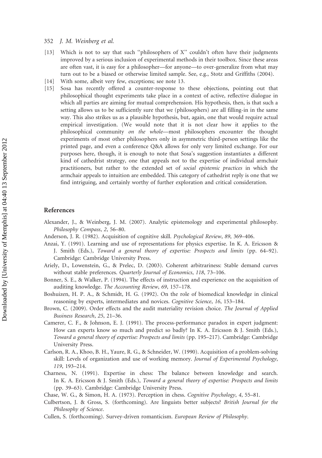- 352 J. M. Weinberg et al.
- [13] Which is not to say that such ''philosophers of X'' couldn't often have their judgments improved by a serious inclusion of experimental methods in their toolbox. Since these areas are often vast, it is easy for a philosopher—for anyone—to over-generalize from what may turn out to be a biased or otherwise limited sample. See, e.g., Stotz and Griffiths (2004).
- [14] With some, albeit very few, exceptions; see note 13.
- [15] Sosa has recently offered a counter-response to these objections, pointing out that philosophical thought experiments take place in a context of active, reflective dialogue in which all parties are aiming for mutual comprehension. His hypothesis, then, is that such a setting allows us to be sufficiently sure that we (philosophers) are all filling-in in the same way. This also strikes us as a plausible hypothesis, but, again, one that would require actual empirical investigation. (We would note that it is not clear how it applies to the philosophical community on the whole—most philosophers encounter the thought experiments of most other philosophers only in asymmetric third-person settings like the printed page, and even a conference Q&A allows for only very limited exchange. For our purposes here, though, it is enough to note that Sosa's suggestion instantiates a different kind of cathedrist strategy, one that appeals not to the expertise of individual armchair practitioners, but rather to the extended set of social epistemic practices in which the armchair appeals to intuition are embedded. This category of cathedrist reply is one that we find intriguing, and certainly worthy of further exploration and critical consideration.

#### References

- Alexander, J., & Weinberg, J. M. (2007). Analytic epistemology and experimental philosophy. Philosophy Compass, 2, 56–80.
- Anderson, J. R. (1982). Acquisition of cognitive skill. Psychological Review, 89, 369–406.
- Anzai, Y. (1991). Learning and use of representations for physics expertise. In K. A. Ericsson & J. Smith (Eds.), Toward a general theory of expertise: Prospects and limits (pp. 64–92). Cambridge: Cambridge University Press.
- Ariely, D., Lowenstein, G., & Prelec, D. (2003). Coherent arbitrariness: Stable demand curves without stable preferences. Quarterly Journal of Economics, 118, 73–106.
- Bonner, S. E., & Walker, P. (1994). The effects of instruction and experience on the acquisition of auditing knowledge. The Accounting Review, 69, 157–178.
- Boshuizen, H. P. A., & Schmidt, H. G. (1992). On the role of biomedical knowledge in clinical reasoning by experts, intermediates and novices. Cognitive Science, 16, 153–184.
- Brown, C. (2009). Order effects and the audit materiality revision choice. The Journal of Applied Business Research, 25, 21–36.
- Camerer, C. F., & Johnson, E. J. (1991). The process-performance paradox in expert judgment: How can experts know so much and predict so badly? In K. A. Ericsson & J. Smith (Eds.), Toward a general theory of expertise: Prospects and limits (pp. 195–217). Cambridge: Cambridge University Press.
- Carlson, R. A., Khoo, B. H., Yaure, R. G., & Schneider, W. (1990). Acquisition of a problem-solving skill: Levels of organization and use of working memory. Journal of Experimental Psychology, 119, 193–214.
- Charness, N. (1991). Expertise in chess: The balance between knowledge and search. In K. A. Ericsson & J. Smith (Eds.), Toward a general theory of expertise: Prospects and limits (pp. 39–63). Cambridge: Cambridge University Press.
- Chase, W. G., & Simon, H. A. (1973). Perception in chess. Cognitive Psychology, 4, 55–81.
- Culbertson, J. & Gross, S. (forthcoming). Are linguists better subjects? British Journal for the Philosophy of Science.
- Cullen, S. (forthcoming). Survey-driven romanticism. European Review of Philosophy.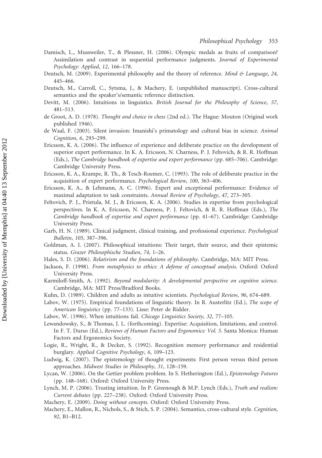- Damisch, L., Mussweiler, T., & Plessner, H. (2006). Olympic medals as fruits of comparison? Assimilation and contrast in sequential performance judgments. Journal of Experimental Psychology: Applied, 12, 166–178.
- Deutsch, M. (2009). Experimental philosophy and the theory of reference. Mind  $\mathcal C$  Language, 24, 445–466.
- Deutsch, M., Carroll, C., Sytsma, J., & Machery, E. (unpublished manuscript). Cross-cultural semantics and the speaker's/semantic reference distinction.
- Devitt, M. (2006). Intuitions in linguistics. British Journal for the Philosophy of Science, 57, 481–513.
- de Groot, A. D. (1978). Thought and choice in chess (2nd ed.). The Hague: Mouton (Original work published 1946).
- de Waal, F. (2003). Silent invasion: Imanishi's primatology and cultural bias in science. Animal Cognition, 6, 293–299.
- Ericsson, K. A. (2006). The influence of experience and deliberate practice on the development of superior expert performance. In K. A. Ericsson, N. Charness, P. J. Feltovich, & R. R. Hoffman (Eds.), The Cambridge handbook of expertise and expert performance (pp. 685–706). Cambridge: Cambridge University Press.
- Ericsson, K. A., Krampe, R. Th., & Tesch-Roemer, C. (1993). The role of deliberate practice in the acquisition of expert performance. Psychological Review, 100, 363–406.
- Ericsson, K. A., & Lehmann, A. C. (1996). Expert and exceptional performance: Evidence of maximal adaptation to task constraints. Annual Review of Psychology, 47, 273–305.
- Feltovich, P. J., Prietula, M. J., & Ericsson, K. A. (2006). Studies in expertise from psychological perspectives. In K. A. Ericsson, N. Charness, P. J. Feltovich, & R. R. Hoffman (Eds.), The Cambridge handbook of expertise and expert performance (pp. 41–67). Cambridge: Cambridge University Press.
- Garb, H. N. (1989). Clinical judgment, clinical training, and professional experience. Psychological Bulletin, 105, 387–396.
- Goldman, A. I. (2007). Philosophical intuitions: Their target, their source, and their epistemic status. Grazer Philosophische Studien, 74, 1–26.
- Hales, S. D. (2006). Relativism and the foundations of philosophy. Cambridge, MA: MIT Press.
- Jackson, F. (1998). From metaphysics to ethics: A defense of conceptual analysis. Oxford: Oxford University Press.
- Karmiloff-Smith, A. (1992). Beyond modularity: A developmental perspective on cognitive science. Cambridge, MA: MIT Press/Bradford Books.
- Kuhn, D. (1989). Children and adults as intuitive scientists. Psychological Review, 96, 674–689.
- Labov, W. (1975). Empirical foundations of linguistic theory. In R. Austerlitz (Ed.), The scope of American linguistics (pp. 77–133). Lisse: Peter de Ridder.
- Labov, W. (1996). When intuitions fail. Chicago Linguistics Society, 32, 77–105.
- Lewandowsky, S., & Thomas, J. L. (forthcoming). Expertise: Acquisition, limitations, and control. In F. T. Durso (Ed.), Reviews of Human Factors and Ergonomics: Vol. 5. Santa Monica: Human Factors and Ergonomics Society.
- Logie, R., Wright, R., & Decker, S. (1992). Recognition memory performance and residential burglary. Applied Cognitive Psychology, 6, 109–123.
- Ludwig, K. (2007). The epistemology of thought experiments: First person versus third person approaches. Midwest Studies in Philosophy, 31, 128–159.
- Lycan, W. (2006). On the Gettier problem problem. In S. Hetherington (Ed.), Epistemology Futures (pp. 148–168). Oxford: Oxford University Press.
- Lynch, M. P. (2006). Trusting intuition. In P. Greenough & M.P. Lynch (Eds.), Truth and realism: Current debates (pp. 227–238). Oxford: Oxford University Press.
- Machery, E. (2009). Doing without concepts. Oxford: Oxford University Press.
- Machery, E., Mallon, R., Nichols, S., & Stich, S. P. (2004). Semantics, cross-cultural style. Cognition, 92, B1–B12.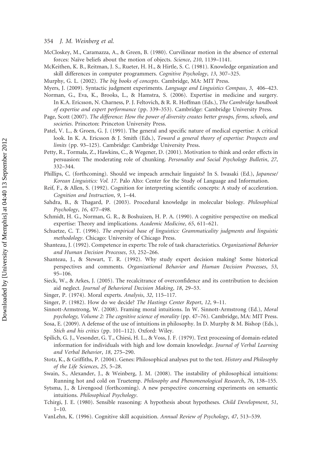- McCloskey, M., Caramazza, A., & Green, B. (1980). Curvilinear motion in the absence of external forces: Naïve beliefs about the motion of objects. Science, 210, 1139-1141.
- McKeithen, K. B., Reitman, J. S., Rueter, H. H., & Hirtle, S. C. (1981). Knowledge organization and skill differences in computer programmers. Cognitive Psychology, 13, 307–325.
- Murphy, G. L. (2002). The big books of concepts. Cambridge, MA: MIT Press.

Myers, J. (2009). Syntactic judgment experiments. Language and Linguistics Compass, 3, 406-423.

- Norman, G., Eva, K., Brooks, L., & Hamstra, S. (2006). Expertise in medicine and surgery. In K.A. Ericsson, N. Charness, P. J. Feltovich, & R. R. Hoffman (Eds.), The Cambridge handbook of expertise and expert performance (pp. 339–353). Cambridge: Cambridge University Press.
- Page, Scott (2007). The difference: How the power of diversity creates better groups, firms, schools, and societies. Princeton: Princeton University Press.
- Patel, V. L., & Groen, G. J. (1991). The general and specific nature of medical expertise: A critical look. In K. A. Ericsson & J. Smith (Eds.), Toward a general theory of expertise: Prospects and limits (pp. 93–125). Cambridge: Cambridge University Press.
- Petty, R., Tormala, Z., Hawkins, C., & Wegener, D. (2001). Motivation to think and order effects in persuasion: The moderating role of chunking. Personality and Social Psychology Bulletin, 27, 332–344.
- Phillips, C. (forthcoming). Should we impeach armchair linguists? In S. Iwasaki (Ed.), Japanese/ Korean Linguistics: Vol. 17. Palo Alto: Center for the Study of Language and Information.
- Reif, F., & Allen, S. (1992). Cognition for interpreting scientific concepts: A study of acceleration. Cognition and Instruction, 9, 1–44.
- Sahdra, B., & Thagard, P. (2003). Procedural knowledge in molecular biology. Philosophical Psychology, 16, 477–498.
- Schmidt, H. G., Norman, G. R., & Boshuizen, H. P. A. (1990). A cognitive perspective on medical expertise: Theory and implications. Academic Medicine, 65, 611–621.
- Schuetze, C. T. (1996). The empirical base of linguistics: Grammaticality judgments and linguistic methodology. Chicago: University of Chicago Press.
- Shanteau, J. (1992). Competence in experts: The role of task characteristics. Organizational Behavior and Human Decision Processes, 53, 252–266.
- Shanteau, J., & Stewart, T. R. (1992). Why study expert decision making? Some historical perspectives and comments. Organizational Behavior and Human Decision Processes, 53, 95–106.
- Sieck, W., & Arkes, J. (2005). The recalcitrance of overconfidence and its contribution to decision aid neglect. Journal of Behavioral Decision Making, 18, 29–53.
- Singer, P. (1974). Moral experts. Analysis, 32, 115–117.
- Singer, P. (1982). How do we decide? The Hastings Center Report, 12, 9–11.
- Sinnott-Armstrong, W. (2008). Framing moral intuitions. In W. Sinnott-Armstrong (Ed.), Moral psychology, Volume 2: The cognitive science of morality (pp. 47–76). Cambridge, MA: MIT Press.
- Sosa, E. (2009). A defense of the use of intuitions in philosophy. In D. Murphy & M. Bishop (Eds.), Stich and his critics (pp. 101–112). Oxford: Wiley.
- Spilich, G. J., Vesonder, G. T., Chiesi, H. L., & Voss, J. F. (1979). Text processing of domain-related information for individuals with high and low domain knowledge. Journal of Verbal Learning and Verbal Behavior, 18, 275–290.
- Stotz, K., & Griffiths, P. (2004). Genes: Philosophical analyses put to the test. History and Philosophy of the Life Sciences, 25, 5–28.
- Swain, S., Alexander, J., & Weinberg, J. M. (2008). The instability of philosophical intuitions: Running hot and cold on Truetemp. Philosophy and Phenomenological Research, 76, 138–155.
- Sytsma, J., & Livengood (forthcoming). A new perspective concerning experiments on semantic intuitions. Philosophical Psychology.
- Tchirgi, J. E. (1980). Sensible reasoning: A hypothesis about hypotheses. Child Development, 51,  $1 - 10$ .
- VanLehn, K. (1996). Cognitive skill acquisition. Annual Review of Psychology, 47, 513–539.